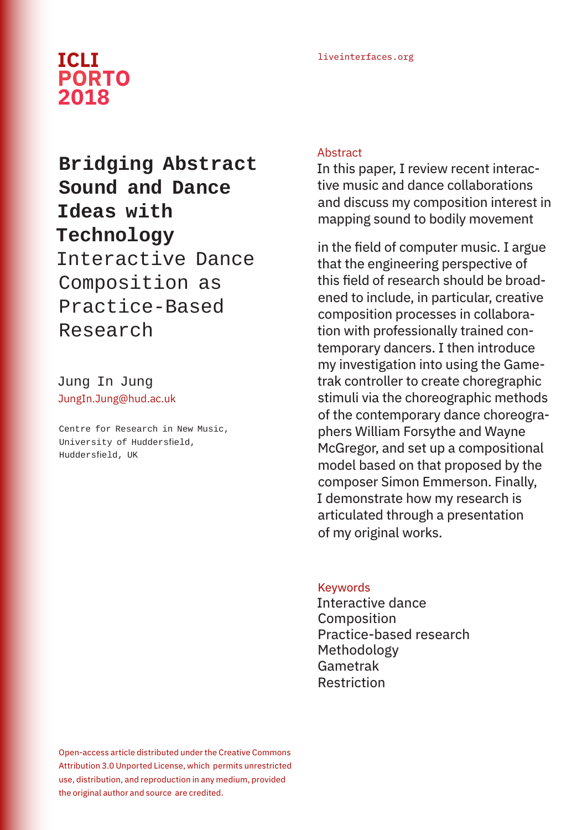# liveinterfaces.org **ICLI PORTO 2018**

# **Bridging Abstract Sound and Dance Ideas with Technology**  Interactive Dance

Composition as Practice-Based Research

Jung In Jung JungIn.Jung@hud.ac.uk

Centre for Research in New Music, University of Huddersfield, Huddersfield, UK

# **Abstract**

In this paper, I review recent interactive music and dance collaborations and discuss my composition interest in mapping sound to bodily movement

in the field of computer music. I argue that the engineering perspective of this field of research should be broadened to include, in particular, creative composition processes in collaboration with professionally trained contemporary dancers. I then introduce my investigation into using the Gametrak controller to create choregraphic stimuli via the choreographic methods of the contemporary dance choreographers William Forsythe and Wayne McGregor, and set up a compositional model based on that proposed by the composer Simon Emmerson. Finally, I demonstrate how my research is articulated through a presentation of my original works.

## Keywords

Interactive dance Composition Practice-based research Methodology Gametrak Restriction

Open-access article distributed under the Creative Commons Attribution 3.0 Unported License, which permits unrestricted use, distribution, and reproduction in any medium, provided the original author and source are credited.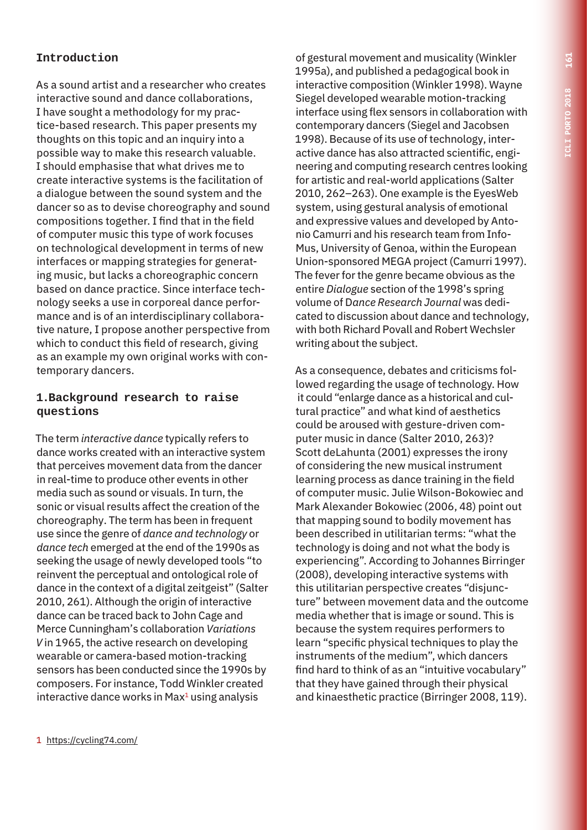# **Introduction**

As a sound artist and a researcher who creates interactive sound and dance collaborations, I have sought a methodology for my practice-based research. This paper presents my thoughts on this topic and an inquiry into a possible way to make this research valuable. I should emphasise that what drives me to create interactive systems is the facilitation of a dialogue between the sound system and the dancer so as to devise choreography and sound compositions together. I find that in the field of computer music this type of work focuses on technological development in terms of new interfaces or mapping strategies for generating music, but lacks a choreographic concern based on dance practice. Since interface technology seeks a use in corporeal dance performance and is of an interdisciplinary collaborative nature, I propose another perspective from which to conduct this field of research, giving as an example my own original works with contemporary dancers.

#### **1.Background research to raise questions**

The term *interactive dance* typically refers to dance works created with an interactive system that perceives movement data from the dancer in real-time to produce other events in other media such as sound or visuals. In turn, the sonic or visual results affect the creation of the choreography. The term has been in frequent use since the genre of *dance and technology* or *dance tech* emerged at the end of the 1990s as seeking the usage of newly developed tools "to reinvent the perceptual and ontological role of dance in the context of a digital zeitgeist" (Salter 2010, 261). Although the origin of interactive dance can be traced back to John Cage and Merce Cunningham's collaboration *Variations V* in 1965, the active research on developing wearable or camera-based motion-tracking sensors has been conducted since the 1990s by composers. For instance, Todd Winkler created interactive dance works in  $Max<sup>1</sup>$  using analysis

of gestural movement and musicality (Winkler 1995a), and published a pedagogical book in interactive composition (Winkler 1998). Wayne Siegel developed wearable motion-tracking interface using flex sensors in collaboration with contemporary dancers (Siegel and Jacobsen 1998). Because of its use of technology, interactive dance has also attracted scientific, engineering and computing research centres looking for artistic and real-world applications (Salter 2010, 262–263). One example is the EyesWeb system, using gestural analysis of emotional and expressive values and developed by Antonio Camurri and his research team from Info-Mus, University of Genoa, within the European Union-sponsored MEGA project (Camurri 1997). The fever for the genre became obvious as the entire *Dialogue* section of the 1998's spring volume of D*ance Research Journal* was dedicated to discussion about dance and technology, with both Richard Povall and Robert Wechsler writing about the subject.

As a consequence, debates and criticisms followed regarding the usage of technology. How it could "enlarge dance as a historical and cultural practice" and what kind of aesthetics could be aroused with gesture-driven computer music in dance (Salter 2010, 263)? Scott deLahunta (2001) expresses the irony of considering the new musical instrument learning process as dance training in the field of computer music. Julie Wilson-Bokowiec and Mark Alexander Bokowiec (2006, 48) point out that mapping sound to bodily movement has been described in utilitarian terms: "what the technology is doing and not what the body is experiencing". According to Johannes Birringer (2008), developing interactive systems with this utilitarian perspective creates "disjuncture" between movement data and the outcome media whether that is image or sound. This is because the system requires performers to learn "specific physical techniques to play the instruments of the medium", which dancers find hard to think of as an "intuitive vocabulary" that they have gained through their physical and kinaesthetic practice (Birringer 2008, 119).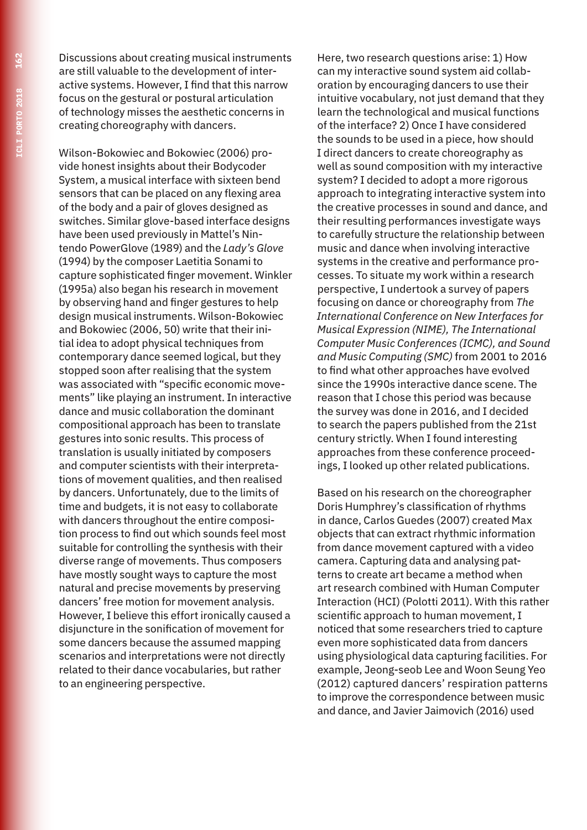Discussions about creating musical instruments are still valuable to the development of interactive systems. However, I find that this narrow focus on the gestural or postural articulation of technology misses the aesthetic concerns in creating choreography with dancers.

Wilson-Bokowiec and Bokowiec (2006) provide honest insights about their Bodycoder System, a musical interface with sixteen bend sensors that can be placed on any flexing area of the body and a pair of gloves designed as switches. Similar glove-based interface designs have been used previously in Mattel's Nintendo PowerGlove (1989) and the *Lady's Glove* (1994) by the composer Laetitia Sonami to capture sophisticated finger movement. Winkler (1995a) also began his research in movement by observing hand and finger gestures to help design musical instruments. Wilson-Bokowiec and Bokowiec (2006, 50) write that their initial idea to adopt physical techniques from contemporary dance seemed logical, but they stopped soon after realising that the system was associated with "specific economic movements" like playing an instrument. In interactive dance and music collaboration the dominant compositional approach has been to translate gestures into sonic results. This process of translation is usually initiated by composers and computer scientists with their interpretations of movement qualities, and then realised by dancers. Unfortunately, due to the limits of time and budgets, it is not easy to collaborate with dancers throughout the entire composition process to find out which sounds feel most suitable for controlling the synthesis with their diverse range of movements. Thus composers have mostly sought ways to capture the most natural and precise movements by preserving dancers' free motion for movement analysis. However, I believe this effort ironically caused a disjuncture in the sonification of movement for some dancers because the assumed mapping scenarios and interpretations were not directly related to their dance vocabularies, but rather to an engineering perspective.

Here, two research questions arise: 1) How can my interactive sound system aid collaboration by encouraging dancers to use their intuitive vocabulary, not just demand that they learn the technological and musical functions of the interface? 2) Once I have considered the sounds to be used in a piece, how should I direct dancers to create choreography as well as sound composition with my interactive system? I decided to adopt a more rigorous approach to integrating interactive system into the creative processes in sound and dance, and their resulting performances investigate ways to carefully structure the relationship between music and dance when involving interactive systems in the creative and performance processes. To situate my work within a research perspective, I undertook a survey of papers focusing on dance or choreography from *The International Conference on New Interfaces for Musical Expression (NIME), The International Computer Music Conferences (ICMC), and Sound and Music Computing (SMC)* from 2001 to 2016 to find what other approaches have evolved since the 1990s interactive dance scene. The reason that I chose this period was because the survey was done in 2016, and I decided to search the papers published from the 21st century strictly. When I found interesting approaches from these conference proceedings, I looked up other related publications.

Based on his research on the choreographer Doris Humphrey's classification of rhythms in dance, Carlos Guedes (2007) created Max objects that can extract rhythmic information from dance movement captured with a video camera. Capturing data and analysing patterns to create art became a method when art research combined with Human Computer Interaction (HCI) (Polotti 2011). With this rather scientific approach to human movement, I noticed that some researchers tried to capture even more sophisticated data from dancers using physiological data capturing facilities. For example, Jeong-seob Lee and Woon Seung Yeo (2012) captured dancers' respiration patterns to improve the correspondence between music and dance, and Javier Jaimovich (2016) used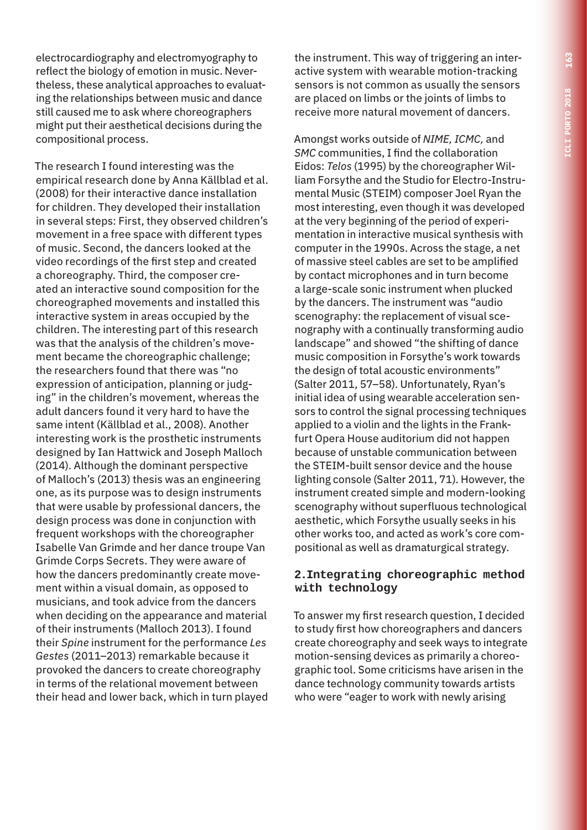electrocardiography and electromyography to reflect the biology of emotion in music. Nevertheless, these analytical approaches to evaluating the relationships between music and dance still caused me to ask where choreographers might put their aesthetical decisions during the compositional process.

The research I found interesting was the empirical research done by Anna Källblad et al. (2008) for their interactive dance installation for children. They developed their installation in several steps: First, they observed children's movement in a free space with different types of music. Second, the dancers looked at the video recordings of the first step and created a choreography. Third, the composer created an interactive sound composition for the choreographed movements and installed this interactive system in areas occupied by the children. The interesting part of this research was that the analysis of the children's movement became the choreographic challenge; the researchers found that there was "no expression of anticipation, planning or judging" in the children's movement, whereas the adult dancers found it very hard to have the same intent (Källblad et al., 2008). Another interesting work is the prosthetic instruments designed by Ian Hattwick and Joseph Malloch (2014). Although the dominant perspective of Malloch's (2013) thesis was an engineering one, as its purpose was to design instruments that were usable by professional dancers, the design process was done in conjunction with frequent workshops with the choreographer Isabelle Van Grimde and her dance troupe Van Grimde Corps Secrets. They were aware of how the dancers predominantly create movement within a visual domain, as opposed to musicians, and took advice from the dancers when deciding on the appearance and material of their instruments (Malloch 2013). I found their *Spine* instrument for the performance *Les Gestes* (2011–2013) remarkable because it provoked the dancers to create choreography in terms of the relational movement between their head and lower back, which in turn played

the instrument. This way of triggering an interactive system with wearable motion-tracking sensors is not common as usually the sensors are placed on limbs or the joints of limbs to receive more natural movement of dancers.

Amongst works outside of *NIME, ICMC,* and *SMC* communities, I find the collaboration Eidos: *Telos* (1995) by the choreographer William Forsythe and the Studio for Electro-Instrumental Music (STEIM) composer Joel Ryan the most interesting, even though it was developed at the very beginning of the period of experimentation in interactive musical synthesis with computer in the 1990s. Across the stage, a net of massive steel cables are set to be amplified by contact microphones and in turn become a large-scale sonic instrument when plucked by the dancers. The instrument was "audio scenography: the replacement of visual scenography with a continually transforming audio landscape" and showed "the shifting of dance music composition in Forsythe's work towards the design of total acoustic environments" (Salter 2011, 57–58). Unfortunately, Ryan's initial idea of using wearable acceleration sensors to control the signal processing techniques applied to a violin and the lights in the Frankfurt Opera House auditorium did not happen because of unstable communication between the STEIM-built sensor device and the house lighting console (Salter 2011, 71). However, the instrument created simple and modern-looking scenography without superfluous technological aesthetic, which Forsythe usually seeks in his other works too, and acted as work's core compositional as well as dramaturgical strategy.

#### **2.Integrating choreographic method with technology**

To answer my first research question, I decided to study first how choreographers and dancers create choreography and seek ways to integrate motion-sensing devices as primarily a choreographic tool. Some criticisms have arisen in the dance technology community towards artists who were "eager to work with newly arising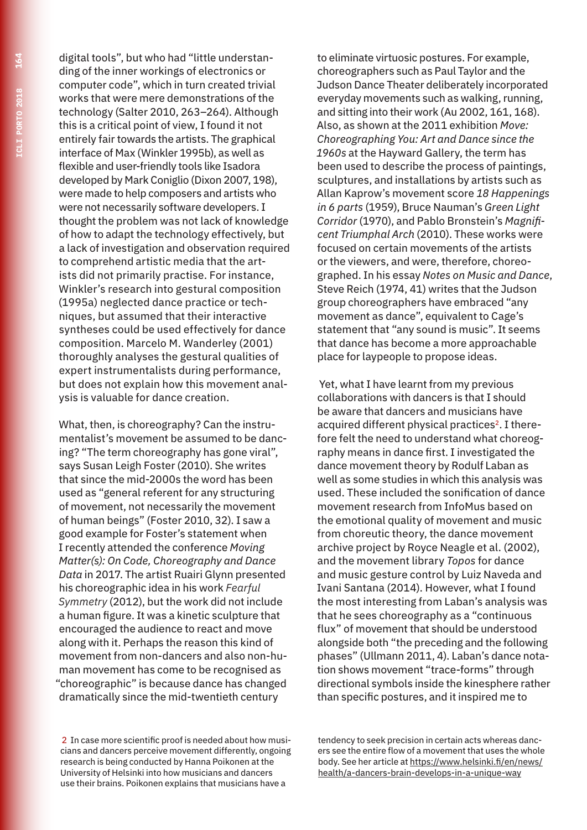digital tools", but who had "little understanding of the inner workings of electronics or computer code", which in turn created trivial works that were mere demonstrations of the technology (Salter 2010, 263–264). Although this is a critical point of view, I found it not entirely fair towards the artists. The graphical interface of Max (Winkler 1995b), as well as flexible and user-friendly tools like Isadora developed by Mark Coniglio (Dixon 2007, 198), were made to help composers and artists who were not necessarily software developers. I thought the problem was not lack of knowledge of how to adapt the technology effectively, but a lack of investigation and observation required to comprehend artistic media that the artists did not primarily practise. For instance, Winkler's research into gestural composition (1995a) neglected dance practice or techniques, but assumed that their interactive syntheses could be used effectively for dance composition. Marcelo M. Wanderley (2001) thoroughly analyses the gestural qualities of expert instrumentalists during performance, but does not explain how this movement analysis is valuable for dance creation.

What, then, is choreography? Can the instrumentalist's movement be assumed to be dancing? "The term choreography has gone viral", says Susan Leigh Foster (2010). She writes that since the mid-2000s the word has been used as "general referent for any structuring of movement, not necessarily the movement of human beings" (Foster 2010, 32). I saw a good example for Foster's statement when I recently attended the conference *Moving Matter(s): On Code, Choreography and Dance Data* in 2017. The artist Ruairi Glynn presented his choreographic idea in his work *Fearful Symmetry* (2012), but the work did not include a human figure. It was a kinetic sculpture that encouraged the audience to react and move along with it. Perhaps the reason this kind of movement from non-dancers and also non-human movement has come to be recognised as "choreographic" is because dance has changed dramatically since the mid-twentieth century

2 In case more scientific proof is needed about how musicians and dancers perceive movement differently, ongoing research is being conducted by Hanna Poikonen at the University of Helsinki into how musicians and dancers use their brains. Poikonen explains that musicians have a

to eliminate virtuosic postures. For example, choreographers such as Paul Taylor and the Judson Dance Theater deliberately incorporated everyday movements such as walking, running, and sitting into their work (Au 2002, 161, 168). Also, as shown at the 2011 exhibition *Move: Choreographing You: Art and Dance since the 1960s* at the Hayward Gallery, the term has been used to describe the process of paintings, sculptures, and installations by artists such as Allan Kaprow's movement score *18 Happenings in 6 parts* (1959), Bruce Nauman's *Green Light Corridor* (1970), and Pablo Bronstein's *Magnificent Triumphal Arch* (2010). These works were focused on certain movements of the artists or the viewers, and were, therefore, choreographed. In his essay *Notes on Music and Dance*, Steve Reich (1974, 41) writes that the Judson group choreographers have embraced "any movement as dance", equivalent to Cage's statement that "any sound is music". It seems that dance has become a more approachable place for laypeople to propose ideas.

 Yet, what I have learnt from my previous collaborations with dancers is that I should be aware that dancers and musicians have acquired different physical practices<sup>2</sup>. I therefore felt the need to understand what choreography means in dance first. I investigated the dance movement theory by Rodulf Laban as well as some studies in which this analysis was used. These included the sonification of dance movement research from InfoMus based on the emotional quality of movement and music from choreutic theory, the dance movement archive project by Royce Neagle et al. (2002), and the movement library *Topos* for dance and music gesture control by Luiz Naveda and Ivani Santana (2014). However, what I found the most interesting from Laban's analysis was that he sees choreography as a "continuous flux" of movement that should be understood alongside both "the preceding and the following phases" (Ullmann 2011, 4). Laban's dance notation shows movement "trace-forms" through directional symbols inside the kinesphere rather than specific postures, and it inspired me to

tendency to seek precision in certain acts whereas dancers see the entire flow of a movement that uses the whole body. See her article at https://www.helsinki.fi/en/news/ health/a-dancers-brain-develops-in-a-unique-way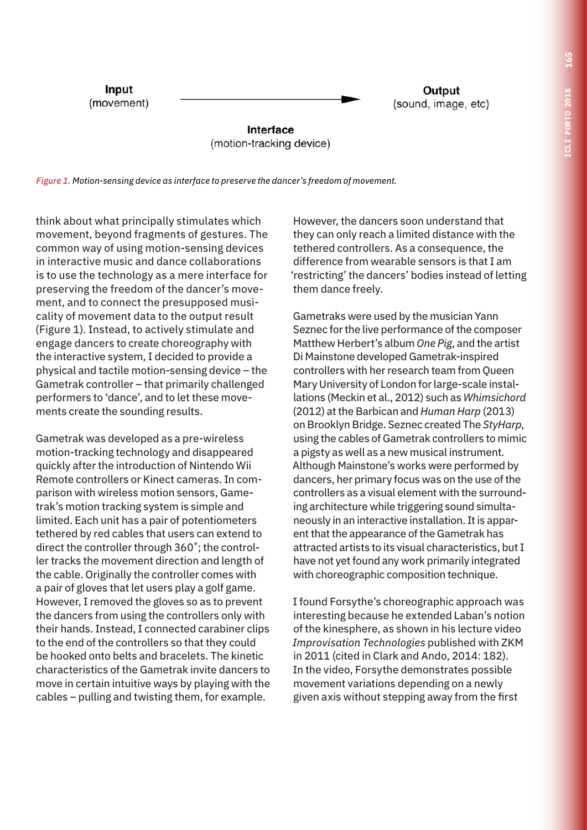Input (movement)

Output (sound, image, etc)

Interface (motion-tracking device)

*Figure 1. Motion-sensing device as interface to preserve the dancer's freedom of movement.*

think about what principally stimulates which movement, beyond fragments of gestures. The common way of using motion-sensing devices in interactive music and dance collaborations is to use the technology as a mere interface for preserving the freedom of the dancer's movement, and to connect the presupposed musicality of movement data to the output result (Figure 1). Instead, to actively stimulate and engage dancers to create choreography with the interactive system, I decided to provide a physical and tactile motion-sensing device – the Gametrak controller – that primarily challenged performers to 'dance', and to let these movements create the sounding results.

Gametrak was developed as a pre-wireless motion-tracking technology and disappeared quickly after the introduction of Nintendo Wii Remote controllers or Kinect cameras. In comparison with wireless motion sensors, Gametrak's motion tracking system is simple and limited. Each unit has a pair of potentiometers tethered by red cables that users can extend to direct the controller through 360˚; the controller tracks the movement direction and length of the cable. Originally the controller comes with a pair of gloves that let users play a golf game. However, I removed the gloves so as to prevent the dancers from using the controllers only with their hands. Instead, I connected carabiner clips to the end of the controllers so that they could be hooked onto belts and bracelets. The kinetic characteristics of the Gametrak invite dancers to move in certain intuitive ways by playing with the cables – pulling and twisting them, for example.

However, the dancers soon understand that they can only reach a limited distance with the tethered controllers. As a consequence, the difference from wearable sensors is that I am 'restricting' the dancers' bodies instead of letting them dance freely.

Gametraks were used by the musician Yann Seznec for the live performance of the composer Matthew Herbert's album *One Pig*, and the artist Di Mainstone developed Gametrak-inspired controllers with her research team from Queen Mary University of London for large-scale installations (Meckin et al., 2012) such as *Whimsichord* (2012) at the Barbican and *Human Harp* (2013) on Brooklyn Bridge. Seznec created The *StyHarp*, using the cables of Gametrak controllers to mimic a pigsty as well as a new musical instrument. Although Mainstone's works were performed by dancers, her primary focus was on the use of the controllers as a visual element with the surrounding architecture while triggering sound simultaneously in an interactive installation. It is apparent that the appearance of the Gametrak has attracted artists to its visual characteristics, but I have not yet found any work primarily integrated with choreographic composition technique.

I found Forsythe's choreographic approach was interesting because he extended Laban's notion of the kinesphere, as shown in his lecture video *Improvisation Technologies* published with ZKM in 2011 (cited in Clark and Ando, 2014: 182). In the video, Forsythe demonstrates possible movement variations depending on a newly given axis without stepping away from the first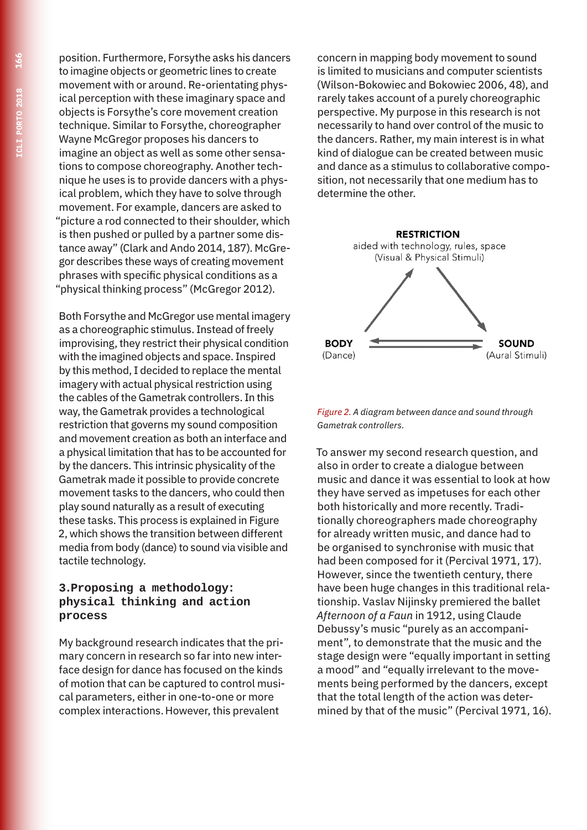position. Furthermore, Forsythe asks his dancers to imagine objects or geometric lines to create movement with or around. Re-orientating physical perception with these imaginary space and objects is Forsythe's core movement creation technique. Similar to Forsythe, choreographer Wayne McGregor proposes his dancers to imagine an object as well as some other sensations to compose choreography. Another technique he uses is to provide dancers with a physical problem, which they have to solve through movement. For example, dancers are asked to "picture a rod connected to their shoulder, which is then pushed or pulled by a partner some distance away" (Clark and Ando 2014, 187). McGregor describes these ways of creating movement phrases with specific physical conditions as a "physical thinking process" (McGregor 2012).

Both Forsythe and McGregor use mental imagery as a choreographic stimulus. Instead of freely improvising, they restrict their physical condition with the imagined objects and space. Inspired by this method, I decided to replace the mental imagery with actual physical restriction using the cables of the Gametrak controllers. In this way, the Gametrak provides a technological restriction that governs my sound composition and movement creation as both an interface and a physical limitation that has to be accounted for by the dancers. This intrinsic physicality of the Gametrak made it possible to provide concrete movement tasks to the dancers, who could then play sound naturally as a result of executing these tasks. This process is explained in Figure 2, which shows the transition between different media from body (dance) to sound via visible and tactile technology.

#### **3.Proposing a methodology: physical thinking and action process**

My background research indicates that the primary concern in research so far into new interface design for dance has focused on the kinds of motion that can be captured to control musical parameters, either in one-to-one or more complex interactions. However, this prevalent

concern in mapping body movement to sound is limited to musicians and computer scientists (Wilson-Bokowiec and Bokowiec 2006, 48), and rarely takes account of a purely choreographic perspective. My purpose in this research is not necessarily to hand over control of the music to the dancers. Rather, my main interest is in what kind of dialogue can be created between music and dance as a stimulus to collaborative composition, not necessarily that one medium has to determine the other.



*Figure 2. A diagram between dance and sound through Gametrak controllers.*

To answer my second research question, and also in order to create a dialogue between music and dance it was essential to look at how they have served as impetuses for each other both historically and more recently. Traditionally choreographers made choreography for already written music, and dance had to be organised to synchronise with music that had been composed for it (Percival 1971, 17). However, since the twentieth century, there have been huge changes in this traditional relationship. Vaslav Nijinsky premiered the ballet *Afternoon of a Faun* in 1912, using Claude Debussy's music "purely as an accompaniment", to demonstrate that the music and the stage design were "equally important in setting a mood" and "equally irrelevant to the movements being performed by the dancers, except that the total length of the action was determined by that of the music" (Percival 1971, 16).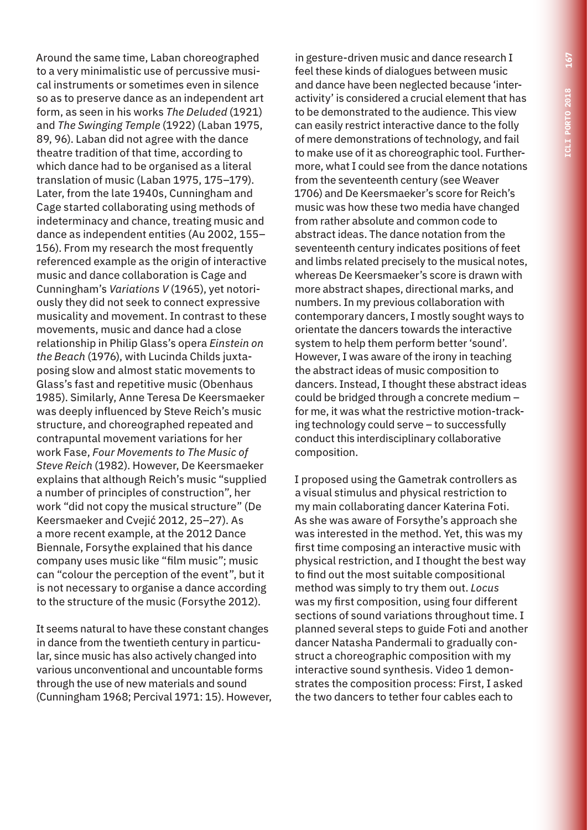Around the same time, Laban choreographed to a very minimalistic use of percussive musical instruments or sometimes even in silence so as to preserve dance as an independent art form, as seen in his works *The Deluded* (1921) and *The Swinging Temple* (1922) (Laban 1975, 89, 96). Laban did not agree with the dance theatre tradition of that time, according to which dance had to be organised as a literal translation of music (Laban 1975, 175–179). Later, from the late 1940s, Cunningham and Cage started collaborating using methods of indeterminacy and chance, treating music and dance as independent entities (Au 2002, 155– 156). From my research the most frequently referenced example as the origin of interactive music and dance collaboration is Cage and Cunningham's *Variations V* (1965), yet notoriously they did not seek to connect expressive musicality and movement. In contrast to these movements, music and dance had a close relationship in Philip Glass's opera *Einstein on the Beach* (1976), with Lucinda Childs juxtaposing slow and almost static movements to Glass's fast and repetitive music (Obenhaus 1985). Similarly, Anne Teresa De Keersmaeker was deeply influenced by Steve Reich's music structure, and choreographed repeated and contrapuntal movement variations for her work Fase, *Four Movements to The Music of Steve Reich* (1982). However, De Keersmaeker explains that although Reich's music "supplied a number of principles of construction", her work "did not copy the musical structure" (De Keersmaeker and Cvejić 2012, 25–27). As a more recent example, at the 2012 Dance Biennale, Forsythe explained that his dance company uses music like "film music"; music can "colour the perception of the event", but it is not necessary to organise a dance according to the structure of the music (Forsythe 2012).

It seems natural to have these constant changes in dance from the twentieth century in particular, since music has also actively changed into various unconventional and uncountable forms through the use of new materials and sound (Cunningham 1968; Percival 1971: 15). However,

in gesture-driven music and dance research I feel these kinds of dialogues between music and dance have been neglected because 'interactivity' is considered a crucial element that has to be demonstrated to the audience. This view can easily restrict interactive dance to the folly of mere demonstrations of technology, and fail to make use of it as choreographic tool. Furthermore, what I could see from the dance notations from the seventeenth century (see Weaver 1706) and De Keersmaeker's score for Reich's music was how these two media have changed from rather absolute and common code to abstract ideas. The dance notation from the seventeenth century indicates positions of feet and limbs related precisely to the musical notes, whereas De Keersmaeker's score is drawn with more abstract shapes, directional marks, and numbers. In my previous collaboration with contemporary dancers, I mostly sought ways to orientate the dancers towards the interactive system to help them perform better 'sound'. However, I was aware of the irony in teaching the abstract ideas of music composition to dancers. Instead, I thought these abstract ideas could be bridged through a concrete medium – for me, it was what the restrictive motion-tracking technology could serve – to successfully conduct this interdisciplinary collaborative composition.

I proposed using the Gametrak controllers as a visual stimulus and physical restriction to my main collaborating dancer Katerina Foti. As she was aware of Forsythe's approach she was interested in the method. Yet, this was my first time composing an interactive music with physical restriction, and I thought the best way to find out the most suitable compositional method was simply to try them out. *Locus* was my first composition, using four different sections of sound variations throughout time. I planned several steps to guide Foti and another dancer Natasha Pandermali to gradually construct a choreographic composition with my interactive sound synthesis. Video 1 demonstrates the composition process: First, I asked the two dancers to tether four cables each to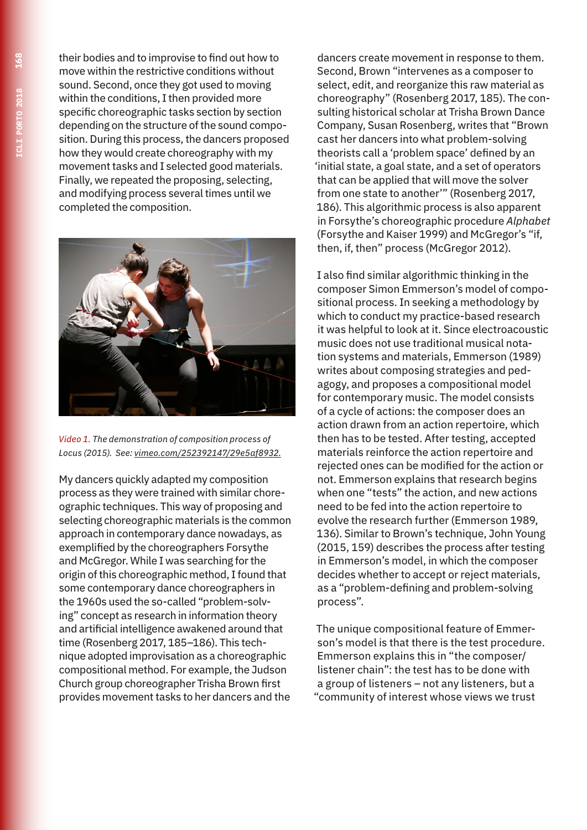their bodies and to improvise to find out how to move within the restrictive conditions without sound. Second, once they got used to moving within the conditions, I then provided more specific choreographic tasks section by section depending on the structure of the sound composition. During this process, the dancers proposed how they would create choreography with my movement tasks and I selected good materials. Finally, we repeated the proposing, selecting, and modifying process several times until we completed the composition.



*Video 1. The demonstration of composition process of Locus (2015). See: vimeo.com/252392147/29e5af8932.*

My dancers quickly adapted my composition process as they were trained with similar choreographic techniques. This way of proposing and selecting choreographic materials is the common approach in contemporary dance nowadays, as exemplified by the choreographers Forsythe and McGregor. While I was searching for the origin of this choreographic method, I found that some contemporary dance choreographers in the 1960s used the so-called "problem-solving" concept as research in information theory and artificial intelligence awakened around that time (Rosenberg 2017, 185–186). This technique adopted improvisation as a choreographic compositional method. For example, the Judson Church group choreographer Trisha Brown first provides movement tasks to her dancers and the

dancers create movement in response to them. Second, Brown "intervenes as a composer to select, edit, and reorganize this raw material as choreography" (Rosenberg 2017, 185). The consulting historical scholar at Trisha Brown Dance Company, Susan Rosenberg, writes that "Brown cast her dancers into what problem-solving theorists call a 'problem space' defined by an 'initial state, a goal state, and a set of operators that can be applied that will move the solver from one state to another'" (Rosenberg 2017, 186). This algorithmic process is also apparent in Forsythe's choreographic procedure *Alphabet* (Forsythe and Kaiser 1999) and McGregor's "if, then, if, then" process (McGregor 2012).

I also find similar algorithmic thinking in the composer Simon Emmerson's model of compositional process. In seeking a methodology by which to conduct my practice-based research it was helpful to look at it. Since electroacoustic music does not use traditional musical notation systems and materials, Emmerson (1989) writes about composing strategies and pedagogy, and proposes a compositional model for contemporary music. The model consists of a cycle of actions: the composer does an action drawn from an action repertoire, which then has to be tested. After testing, accepted materials reinforce the action repertoire and rejected ones can be modified for the action or not. Emmerson explains that research begins when one "tests" the action, and new actions need to be fed into the action repertoire to evolve the research further (Emmerson 1989, 136). Similar to Brown's technique, John Young (2015, 159) describes the process after testing in Emmerson's model, in which the composer decides whether to accept or reject materials, as a "problem-defining and problem-solving process".

The unique compositional feature of Emmerson's model is that there is the test procedure. Emmerson explains this in "the composer/ listener chain": the test has to be done with a group of listeners – not any listeners, but a "community of interest whose views we trust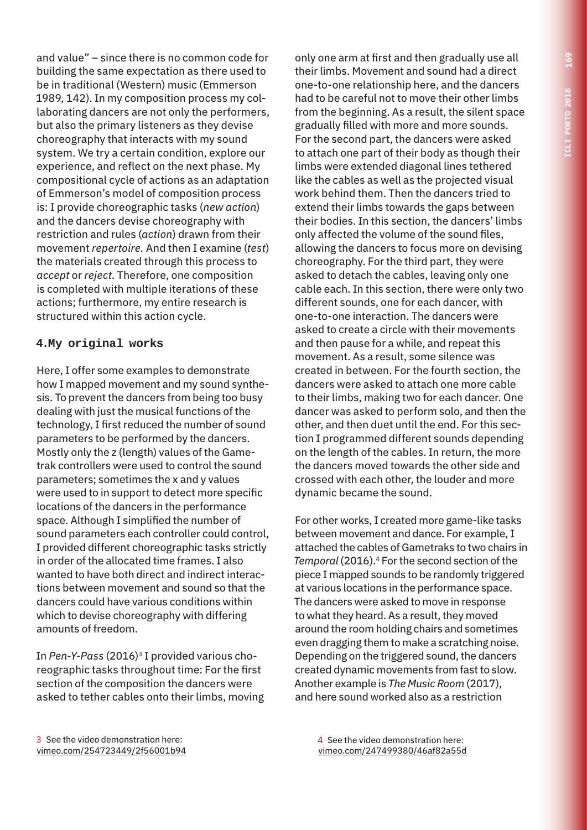and value" – since there is no common code for building the same expectation as there used to be in traditional (Western) music (Emmerson 1989, 142). In my composition process my collaborating dancers are not only the performers, but also the primary listeners as they devise choreography that interacts with my sound system. We try a certain condition, explore our experience, and reflect on the next phase. My compositional cycle of actions as an adaptation of Emmerson's model of composition process is: I provide choreographic tasks (*new action*) and the dancers devise choreography with restriction and rules (*action*) drawn from their movement *repertoire.* And then I examine (*test*) the materials created through this process to *accept* or *reject*. Therefore, one composition is completed with multiple iterations of these actions; furthermore, my entire research is structured within this action cycle.

### **4.My original works**

Here, I offer some examples to demonstrate how I mapped movement and my sound synthesis. To prevent the dancers from being too busy dealing with just the musical functions of the technology, I first reduced the number of sound parameters to be performed by the dancers. Mostly only the z (length) values of the Gametrak controllers were used to control the sound parameters; sometimes the x and y values were used to in support to detect more specific locations of the dancers in the performance space. Although I simplified the number of sound parameters each controller could control, I provided different choreographic tasks strictly in order of the allocated time frames. I also wanted to have both direct and indirect interactions between movement and sound so that the dancers could have various conditions within which to devise choreography with differing amounts of freedom.

In Pen-Y-Pass (2016)<sup>3</sup> I provided various choreographic tasks throughout time: For the first section of the composition the dancers were asked to tether cables onto their limbs, moving only one arm at first and then gradually use all their limbs. Movement and sound had a direct one-to-one relationship here, and the dancers had to be careful not to move their other limbs from the beginning. As a result, the silent space gradually filled with more and more sounds. For the second part, the dancers were asked to attach one part of their body as though their limbs were extended diagonal lines tethered like the cables as well as the projected visual work behind them. Then the dancers tried to extend their limbs towards the gaps between their bodies. In this section, the dancers' limbs only affected the volume of the sound files, allowing the dancers to focus more on devising choreography. For the third part, they were asked to detach the cables, leaving only one cable each. In this section, there were only two different sounds, one for each dancer, with one-to-one interaction. The dancers were asked to create a circle with their movements and then pause for a while, and repeat this movement. As a result, some silence was created in between. For the fourth section, the dancers were asked to attach one more cable to their limbs, making two for each dancer. One dancer was asked to perform solo, and then the other, and then duet until the end. For this section I programmed different sounds depending on the length of the cables. In return, the more the dancers moved towards the other side and crossed with each other, the louder and more dynamic became the sound.

For other works, I created more game-like tasks between movement and dance. For example, I attached the cables of Gametraks to two chairs in *Temporal* (2016).4 For the second section of the piece I mapped sounds to be randomly triggered at various locations in the performance space. The dancers were asked to move in response to what they heard. As a result, they moved around the room holding chairs and sometimes even dragging them to make a scratching noise. Depending on the triggered sound, the dancers created dynamic movements from fast to slow. Another example is *The Music Room* (2017), and here sound worked also as a restriction

3 See the video demonstration here: vimeo.com/254723449/2f56001b94 4 See the video demonstration here: vimeo.com/247499380/46af82a55d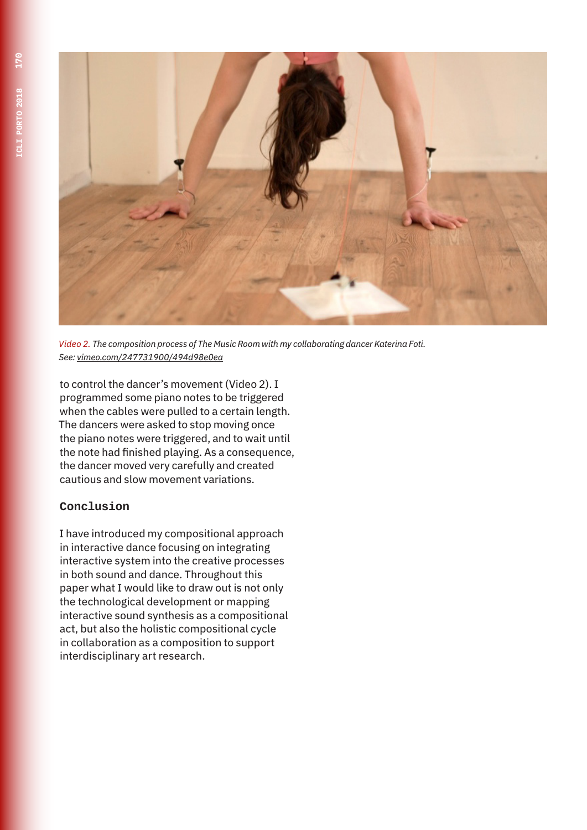

*Video 2. The composition process of The Music Room with my collaborating dancer Katerina Foti. See: vimeo.com/247731900/494d98e0ea*

to control the dancer's movement (Video 2). I programmed some piano notes to be triggered when the cables were pulled to a certain length. The dancers were asked to stop moving once the piano notes were triggered, and to wait until the note had finished playing. As a consequence, the dancer moved very carefully and created cautious and slow movement variations.

# **Conclusion**

I have introduced my compositional approach in interactive dance focusing on integrating interactive system into the creative processes in both sound and dance. Throughout this paper what I would like to draw out is not only the technological development or mapping interactive sound synthesis as a compositional act, but also the holistic compositional cycle in collaboration as a composition to support interdisciplinary art research.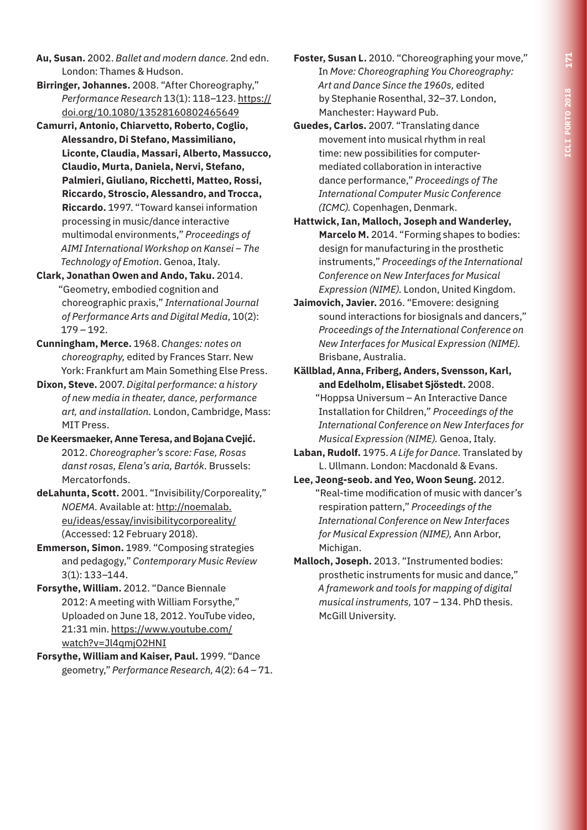- **Au, Susan.** 2002. *Ballet and modern dance*. 2nd edn. London: Thames & Hudson.
- **Birringer, Johannes.** 2008. "After Choreography," *Performance Research* 13(1): 118–123. https:// doi.org/10.1080/13528160802465649
- **Camurri, Antonio, Chiarvetto, Roberto, Coglio, Alessandro, Di Stefano, Massimiliano, Liconte, Claudia, Massari, Alberto, Massucco, Claudio, Murta, Daniela, Nervi, Stefano, Palmieri, Giuliano, Ricchetti, Matteo, Rossi, Riccardo, Stroscio, Alessandro, and Trocca, Riccardo.** 1997. "Toward kansei information processing in music/dance interactive multimodal environments," *Proceedings of AIMI International Workshop on Kansei – The Technology of Emotion*. Genoa, Italy.
- **Clark, Jonathan Owen and Ando, Taku.** 2014. "Geometry, embodied cognition and choreographic praxis," *International Journal of Performance Arts and Digital Media*, 10(2): 179 – 192.
- **Cunningham, Merce.** 1968. *Changes: notes on choreography,* edited by Frances Starr. New York: Frankfurt am Main Something Else Press.
- **Dixon, Steve.** 2007. *Digital performance: a history of new media in theater, dance, performance art, and installation.* London, Cambridge, Mass: MIT Press.
- **De Keersmaeker, Anne Teresa, and Bojana Cvejić.** 2012. *Choreographer's score: Fase, Rosas danst rosas, Elena's aria, Bartók.* Brussels: Mercatorfonds.
- **deLahunta, Scott.** 2001. "Invisibility/Corporeality," *NOEMA.* Available at: http://noemalab. eu/ideas/essay/invisibilitycorporeality/ (Accessed: 12 February 2018).
- **Emmerson, Simon.** 1989. "Composing strategies and pedagogy," *Contemporary Music Review*  3(1): 133–144.
- **Forsythe, William.** 2012. "Dance Biennale 2012: A meeting with William Forsythe," Uploaded on June 18, 2012. YouTube video, 21:31 min. https://www.youtube.com/ watch?v=Jl4qmjO2HNI
- **Forsythe, William and Kaiser, Paul.** 1999. "Dance geometry," *Performance Research,* 4(2): 64 – 71.
- **Foster, Susan L.** 2010. "Choreographing your move," In *Move: Choreographing You Choreography: Art and Dance Since the 1960s,* edited by Stephanie Rosenthal, 32–37. London, Manchester: Hayward Pub.
- **Guedes, Carlos.** 2007. "Translating dance movement into musical rhythm in real time: new possibilities for computermediated collaboration in interactive dance performance," *Proceedings of The International Computer Music Conference (ICMC).* Copenhagen, Denmark.
- **Hattwick, Ian, Malloch, Joseph and Wanderley, Marcelo M.** 2014. "Forming shapes to bodies: design for manufacturing in the prosthetic instruments," *Proceedings of the International Conference on New Interfaces for Musical Expression (NIME).* London, United Kingdom.
- **Jaimovich, Javier.** 2016. "Emovere: designing sound interactions for biosignals and dancers," *Proceedings of the International Conference on New Interfaces for Musical Expression (NIME).* Brisbane, Australia.
- **Källblad, Anna, Friberg, Anders, Svensson, Karl, and Edelholm, Elisabet Sjöstedt.** 2008. "Hoppsa Universum – An Interactive Dance Installation for Children," *Proceedings of the International Conference on New Interfaces for Musical Expression (NIME).* Genoa, Italy.
- **Laban, Rudolf.** 1975. *A Life for Dance.* Translated by L. Ullmann. London: Macdonald & Evans.
- **Lee, Jeong-seob. and Yeo, Woon Seung.** 2012. "Real-time modification of music with dancer's respiration pattern," *Proceedings of the International Conference on New Interfaces for Musical Expression (NIME),* Ann Arbor, Michigan.
- **Malloch, Joseph.** 2013. "Instrumented bodies: prosthetic instruments for music and dance," *A framework and tools for mapping of digital musical instruments,* 107 – 134. PhD thesis. McGill University.